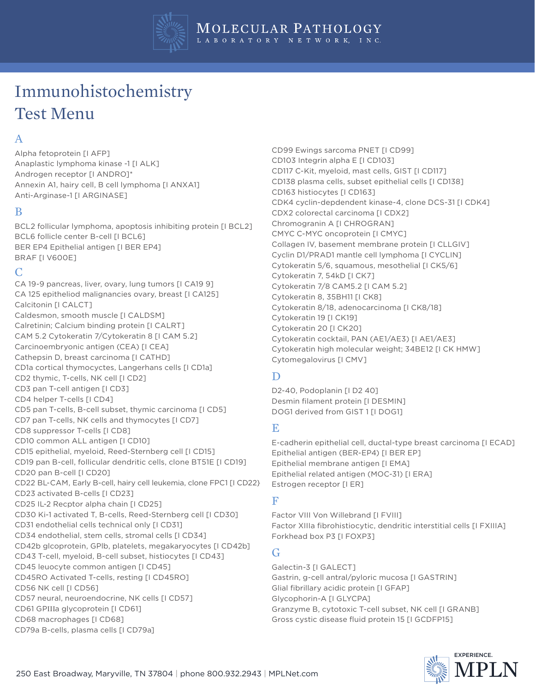

# Immunohistochemistry Test Menu

## A

Alpha fetoprotein [I AFP] Anaplastic lymphoma kinase -1 [I ALK] Androgen receptor [I ANDRO]\* Annexin A1, hairy cell, B cell lymphoma [I ANXA1] Anti-Arginase-1 [I ARGINASE]

#### B

BCL2 follicular lymphoma, apoptosis inhibiting protein [I BCL2] BCL6 follicle center B-cell [I BCL6] BER EP4 Epithelial antigen [I BER EP4] BRAF [I V600E]

#### C

CA 19-9 pancreas, liver, ovary, lung tumors [I CA19 9] CA 125 epitheliod malignancies ovary, breast [I CA125] Calcitonin [I CALCT] Caldesmon, smooth muscle [I CALDSM] Calretinin; Calcium binding protein [I CALRT] CAM 5.2 Cytokeratin 7/Cytokeratin 8 [I CAM 5.2] Carcinoembryonic antigen (CEA) [I CEA] Cathepsin D, breast carcinoma [I CATHD] CD1a cortical thymocyctes, Langerhans cells [I CD1a] CD2 thymic, T-cells, NK cell [I CD2] CD3 pan T-cell antigen [I CD3] CD4 helper T-cells [I CD4] CD5 pan T-cells, B-cell subset, thymic carcinoma [I CD5] CD7 pan T-cells, NK cells and thymocytes [I CD7] CD8 suppressor T-cells [I CD8] CD10 common ALL antigen [I CD10] CD15 epithelial, myeloid, Reed-Sternberg cell [I CD15] CD19 pan B-cell, follicular dendritic cells, clone BT51E [I CD19] CD20 pan B-cell [I CD20] CD22 BL-CAM, Early B-cell, hairy cell leukemia, clone FPC1 [I CD22} CD23 activated B-cells [I CD23] CD25 IL-2 Recptor alpha chain [I CD25] CD30 Ki-1 activated T, B-cells, Reed-Sternberg cell [I CD30] CD31 endothelial cells technical only [I CD31] CD34 endothelial, stem cells, stromal cells [I CD34] CD42b glcoprotein, GPlb, platelets, megakaryocytes [I CD42b] CD43 T-cell, myeloid, B-cell subset, histiocytes [I CD43] CD45 leuocyte common antigen [I CD45] CD45RO Activated T-cells, resting [I CD45RO] CD56 NK cell [I CD56] CD57 neural, neuroendocrine, NK cells [I CD57] CD61 GPIIIa glycoprotein [I CD61] CD68 macrophages [I CD68] CD79a B-cells, plasma cells [I CD79a]

CD99 Ewings sarcoma PNET [I CD99] CD103 Integrin alpha E [I CD103] CD117 C-Kit, myeloid, mast cells, GIST [I CD117] CD138 plasma cells, subset epithelial cells [I CD138] CD163 histiocytes [I CD163] CDK4 cyclin-depdendent kinase-4, clone DCS-31 [I CDK4] CDX2 colorectal carcinoma [I CDX2] Chromogranin A [I CHROGRAN] CMYC C-MYC oncoprotein [I CMYC] Collagen IV, basement membrane protein [I CLLGIV] Cyclin D1/PRAD1 mantle cell lymphoma [I CYCLIN] Cytokeratin 5/6, squamous, mesothelial [I CK5/6] Cytokeratin 7, 54kD [I CK7] Cytokeratin 7/8 CAM5.2 [I CAM 5.2] Cytokeratin 8, 35BH11 [I CK8] Cytokeratin 8/18, adenocarcinoma [I CK8/18] Cytokeratin 19 [I CK19] Cytokeratin 20 [I CK20] Cytokeratin cocktail, PAN (AE1/AE3) [I AE1/AE3] Cytokeratin high molecular weight; 34BE12 [I CK HMW] Cytomegalovirus [I CMV]

## D

D2-40, Podoplanin [I D2 40] Desmin filament protein [I DESMIN] DOG1 derived from GIST 1 [I DOG1]

## E

E-cadherin epithelial cell, ductal-type breast carcinoma [I ECAD] Epithelial antigen (BER-EP4) [I BER EP] Epithelial membrane antigen [I EMA] Epithelial related antigen (MOC-31) [I ERA] Estrogen receptor [I ER]

## F

Factor VIII Von Willebrand [I FVIII] Factor XIIIa fibrohistiocytic, dendritic interstitial cells [I FXIIIA] Forkhead box P3 [I FOXP3]

## G

Galectin-3 [I GALECT] Gastrin, g-cell antral/pyloric mucosa [I GASTRIN] Glial fibrillary acidic protein [I GFAP] Glycophorin-A [I GLYCPA] Granzyme B, cytotoxic T-cell subset, NK cell [I GRANB] Gross cystic disease fluid protein 15 [I GCDFP15]